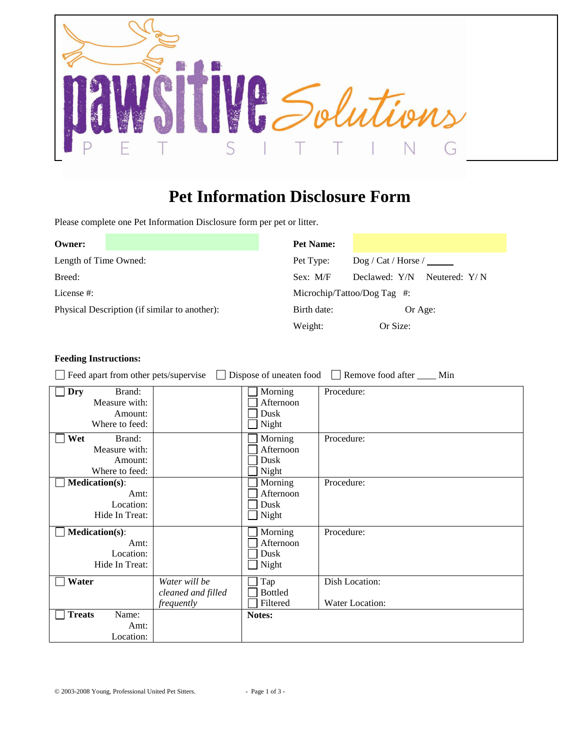

## **Pet Information Disclosure Form**

Please complete one Pet Information Disclosure form per pet or litter.

| Owner:                                        |  | <b>Pet Name:</b> |                                  |  |  |
|-----------------------------------------------|--|------------------|----------------------------------|--|--|
| Length of Time Owned:                         |  | Pet Type:        | $\log$ / Cat / Horse /           |  |  |
| Breed:                                        |  | Sex: M/F         | Declawed: Y/N<br>Neutered: $Y/N$ |  |  |
| License #:                                    |  |                  | Microchip/Tattoo/Dog Tag $\#$ :  |  |  |
| Physical Description (if similar to another): |  | Birth date:      | Or Age:                          |  |  |
|                                               |  | Weight:          | Or Size:                         |  |  |

## **Feeding Instructions:**

Feed apart from other pets/supervise Dispose of uneaten food Remove food after \_\_\_\_ Min

| Dry<br>Brand:<br>Measure with:<br>Amount:<br>Where to feed:  |                                                   | Morning<br>Afternoon<br>Dusk<br>Night | Procedure:                        |
|--------------------------------------------------------------|---------------------------------------------------|---------------------------------------|-----------------------------------|
| Wet<br>Brand:<br>Measure with:<br>Amount:<br>Where to feed:  |                                                   | Morning<br>Afternoon<br>Dusk<br>Night | Procedure:                        |
| <b>Medication(s):</b><br>Amt:<br>Location:<br>Hide In Treat: |                                                   | Morning<br>Afternoon<br>Dusk<br>Night | Procedure:                        |
| <b>Medication(s):</b><br>Amt:<br>Location:<br>Hide In Treat: |                                                   | Morning<br>Afternoon<br>Dusk<br>Night | Procedure:                        |
| Water                                                        | Water will be<br>cleaned and filled<br>frequently | Tap<br><b>Bottled</b><br>Filtered     | Dish Location:<br>Water Location: |
| <b>Treats</b><br>Name:<br>Amt:<br>Location:                  |                                                   | Notes:                                |                                   |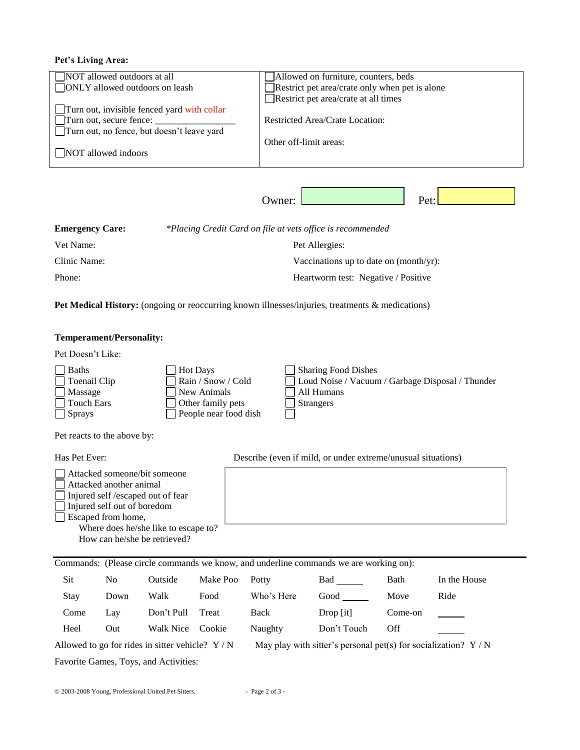## **Pet's Living Area:**

| <b>NOT</b> allowed outdoors at all<br><b>ONLY</b> allowed outdoors on leash                                          |                                           | Allowed on furniture, counters, beds<br>Restrict pet area/crate only when pet is alone            |
|----------------------------------------------------------------------------------------------------------------------|-------------------------------------------|---------------------------------------------------------------------------------------------------|
| Turn out, invisible fenced yard with collar<br>Turn out, secure fence:<br>Turn out, no fence, but doesn't leave yard |                                           | Restrict pet area/crate at all times<br>Restricted Area/Crate Location:<br>Other off-limit areas: |
| NOT allowed indoors                                                                                                  |                                           |                                                                                                   |
|                                                                                                                      |                                           | Pet:<br>Owner:                                                                                    |
| <b>Emergency Care:</b>                                                                                               |                                           | *Placing Credit Card on file at vets office is recommended                                        |
| Vet Name:                                                                                                            | Pet Allergies:                            |                                                                                                   |
| Clinic Name:                                                                                                         | Vaccinations up to date on $(month/yr)$ : |                                                                                                   |

Phone: Heartworm test: Negative / Positive

Pet Medical History: (ongoing or reoccurring known illnesses/injuries, treatments & medications)

## **Temperament/Personality:**

Pet Doesn't Like:

| $\Box$ Baths        | Hot Days              | Sharing Food Dishes                              |
|---------------------|-----------------------|--------------------------------------------------|
| $\Box$ Toenail Clip | Rain / Snow / Cold    | Loud Noise / Vacuum / Garbage Disposal / Thunder |
| $\Box$ Massage      | New Animals           | All Humans                                       |
| $\Box$ Touch Ears   | Other family pets     | <b>Strangers</b>                                 |
| l Sprays            | People near food dish |                                                  |

Pet reacts to the above by:

| Has Pet Ever:                                                                                                                                                                                                                                | Describe (even if mild, or under extreme/unusual situations) |
|----------------------------------------------------------------------------------------------------------------------------------------------------------------------------------------------------------------------------------------------|--------------------------------------------------------------|
| Attacked someone/bit someone<br>  Attacked another animal<br>$\Box$ Injured self / escaped out of fear<br>$\Box$ Injured self out of boredom<br>  Escaped from home,<br>Where does he/she like to escape to?<br>How can he/she be retrieved? |                                                              |

|                                                                                                                     | Commands: (Please circle commands we know, and underline commands we are working on): |            |          |            |             |         |              |
|---------------------------------------------------------------------------------------------------------------------|---------------------------------------------------------------------------------------|------------|----------|------------|-------------|---------|--------------|
| Sit                                                                                                                 | No                                                                                    | Outside    | Make Poo | Potty      | Bad         | Bath    | In the House |
| Stay                                                                                                                | Down                                                                                  | Walk       | Food     | Who's Here | Good        | Move    | Ride         |
| Come                                                                                                                | Lay                                                                                   | Don't Pull | Treat    | Back       | $Drop$ [it] | Come-on |              |
| Heel                                                                                                                | Out                                                                                   | Walk Nice  | Cookie   | Naughty    | Don't Touch | Off     |              |
| May play with sitter's personal pet(s) for socialization? $Y/N$<br>Allowed to go for rides in sitter vehicle? $Y/N$ |                                                                                       |            |          |            |             |         |              |
| Favorite Games, Toys, and Activities:                                                                               |                                                                                       |            |          |            |             |         |              |